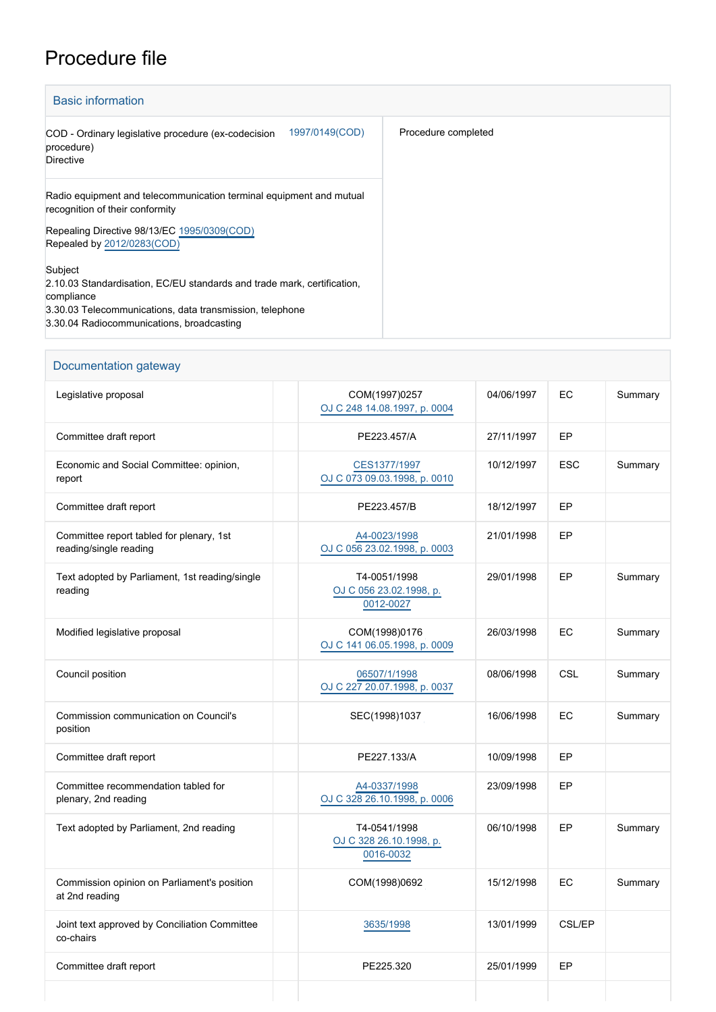## Procedure file

| <b>Basic information</b>                                                                                                                                                                                  |                     |  |  |
|-----------------------------------------------------------------------------------------------------------------------------------------------------------------------------------------------------------|---------------------|--|--|
| 1997/0149(COD)<br>COD - Ordinary legislative procedure (ex-codecision<br>procedure)<br><b>Directive</b>                                                                                                   | Procedure completed |  |  |
| Radio equipment and telecommunication terminal equipment and mutual<br>recognition of their conformity                                                                                                    |                     |  |  |
| Repealing Directive 98/13/EC 1995/0309(COD)<br>Repealed by 2012/0283(COD)                                                                                                                                 |                     |  |  |
| Subject<br>2.10.03 Standardisation, EC/EU standards and trade mark, certification,<br>compliance<br>3.30.03 Telecommunications, data transmission, telephone<br>3.30.04 Radiocommunications, broadcasting |                     |  |  |

| Documentation gateway                                              |                                                      |            |            |         |  |
|--------------------------------------------------------------------|------------------------------------------------------|------------|------------|---------|--|
| Legislative proposal                                               | COM(1997)0257<br>OJ C 248 14.08.1997, p. 0004        | 04/06/1997 | EC         | Summary |  |
| Committee draft report                                             | PE223.457/A                                          | 27/11/1997 | EP         |         |  |
| Economic and Social Committee: opinion,<br>report                  | CES1377/1997<br>OJ C 073 09.03.1998, p. 0010         | 10/12/1997 | <b>ESC</b> | Summary |  |
| Committee draft report                                             | PE223.457/B                                          | 18/12/1997 | EP         |         |  |
| Committee report tabled for plenary, 1st<br>reading/single reading | A4-0023/1998<br>OJ C 056 23.02.1998, p. 0003         | 21/01/1998 | EP         |         |  |
| Text adopted by Parliament, 1st reading/single<br>reading          | T4-0051/1998<br>OJ C 056 23.02.1998, p.<br>0012-0027 | 29/01/1998 | EP         | Summary |  |
| Modified legislative proposal                                      | COM(1998)0176<br>OJ C 141 06.05.1998, p. 0009        | 26/03/1998 | EC         | Summary |  |
| Council position                                                   | 06507/1/1998<br>OJ C 227 20.07.1998, p. 0037         | 08/06/1998 | CSL        | Summary |  |
| Commission communication on Council's<br>position                  | SEC(1998)1037                                        | 16/06/1998 | EC         | Summary |  |
| Committee draft report                                             | PE227.133/A                                          | 10/09/1998 | EP         |         |  |
| Committee recommendation tabled for<br>plenary, 2nd reading        | A4-0337/1998<br>OJ C 328 26.10.1998, p. 0006         | 23/09/1998 | EP         |         |  |
| Text adopted by Parliament, 2nd reading                            | T4-0541/1998<br>OJ C 328 26.10.1998, p.<br>0016-0032 | 06/10/1998 | EP         | Summary |  |
| Commission opinion on Parliament's position<br>at 2nd reading      | COM(1998)0692                                        | 15/12/1998 | EC         | Summary |  |
| Joint text approved by Conciliation Committee<br>co-chairs         | 3635/1998                                            | 13/01/1999 | CSL/EP     |         |  |
| Committee draft report                                             | PE225.320                                            | 25/01/1999 | EP         |         |  |
|                                                                    |                                                      |            |            |         |  |